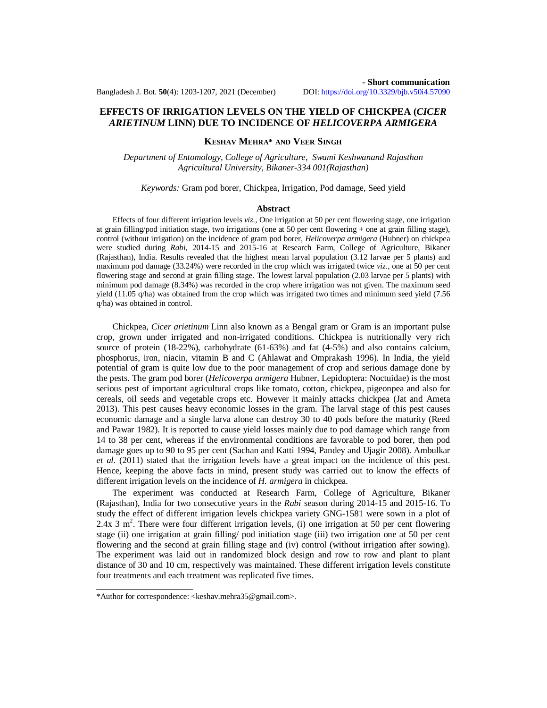## **- Short communication** Bangladesh J. Bot. **50**(4): 1203-1207, 2021 (December) DOI: <https://doi.org/10.3329/bjb.v50i4.57090>

# **EFFECTS OF IRRIGATION LEVELS ON THE YIELD OF CHICKPEA (***CICER ARIETINUM* **LINN) DUE TO INCIDENCE OF** *HELICOVERPA ARMIGERA*

## **KESHAV MEHRA\* AND VEER SINGH**

*Department of Entomology, College of Agriculture, Swami Keshwanand Rajasthan Agricultural University, Bikaner-334 001(Rajasthan)*

### *Keywords:* Gram pod borer, Chickpea, Irrigation, Pod damage, Seed yield

#### **Abstract**

Effects of four different irrigation levels *viz.,* One irrigation at 50 per cent flowering stage, one irrigation at grain filling/pod initiation stage, two irrigations (one at 50 per cent flowering + one at grain filling stage), control (without irrigation) on the incidence of gram pod borer, *Helicoverpa armigera* (Hubner) on chickpea were studied during *Rabi,* 2014-15 and 2015-16 at Research Farm, College of Agriculture, Bikaner (Rajasthan), India. Results revealed that the highest mean larval population (3.12 larvae per 5 plants) and maximum pod damage (33.24%) were recorded in the crop which was irrigated twice *viz.,* one at 50 per cent flowering stage and second at grain filling stage. The lowest larval population (2.03 larvae per 5 plants) with minimum pod damage (8.34%) was recorded in the crop where irrigation was not given. The maximum seed yield (11.05 q/ha) was obtained from the crop which was irrigated two times and minimum seed yield (7.56 q/ha) was obtained in control.

Chickpea, *Cicer arietinum* Linn also known as a Bengal gram or Gram is an important pulse crop, grown under irrigated and non-irrigated conditions. Chickpea is nutritionally very rich source of protein (18-22%), carbohydrate (61-63%) and fat (4-5%) and also contains calcium, phosphorus, iron, niacin, vitamin B and C (Ahlawat and Omprakash 1996). In India, the yield potential of gram is quite low due to the poor management of crop and serious damage done by the pests. The gram pod borer (*Helicoverpa armigera* Hubner, Lepidoptera: Noctuidae) is the most serious pest of important agricultural crops like tomato, cotton, chickpea, pigeonpea and also for cereals, oil seeds and vegetable crops etc. However it mainly attacks chickpea (Jat and Ameta 2013). This pest causes heavy economic losses in the gram. The larval stage of this pest causes economic damage and a single larva alone can destroy 30 to 40 pods before the maturity (Reed and Pawar 1982). It is reported to cause yield losses mainly due to pod damage which range from 14 to 38 per cent, whereas if the environmental conditions are favorable to pod borer, then pod damage goes up to 90 to 95 per cent (Sachan and Katti 1994, Pandey and Ujagir 2008). Ambulkar *et al.* (2011) stated that the irrigation levels have a great impact on the incidence of this pest. Hence, keeping the above facts in mind, present study was carried out to know the effects of different irrigation levels on the incidence of *H. armigera* in chickpea.

The experiment was conducted at Research Farm, College of Agriculture, Bikaner (Rajasthan), India for two consecutive years in the *Rabi* season during 2014-15 and 2015-16. To study the effect of different irrigation levels chickpea variety GNG-1581 were sown in a plot of 2.4x 3 m<sup>2</sup> . There were four different irrigation levels*,* (i) one irrigation at 50 per cent flowering stage (ii) one irrigation at grain filling/ pod initiation stage (iii) two irrigation one at 50 per cent flowering and the second at grain filling stage and (iv) control (without irrigation after sowing). The experiment was laid out in randomized block design and row to row and plant to plant distance of 30 and 10 cm, respectively was maintained. These different irrigation levels constitute four treatments and each treatment was replicated five times.

<sup>\*</sup>Author for correspondence: [<keshav.mehra35@gmail.com>](mailto:keshav.mehra35@gmail.com).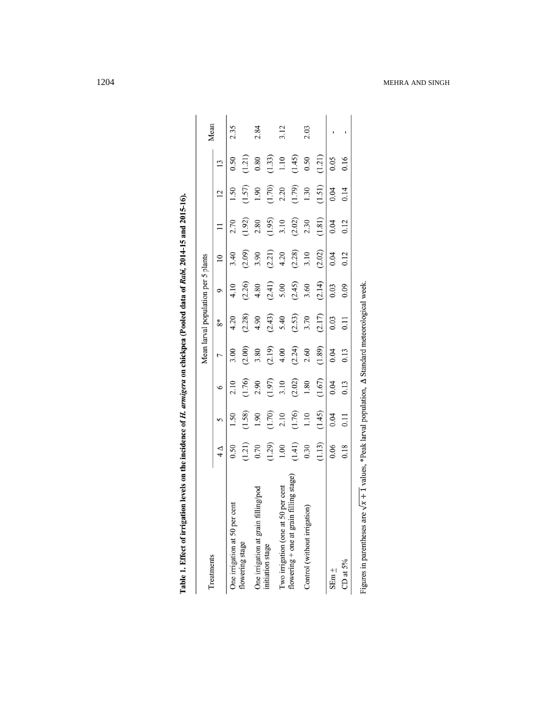| 2.10<br>$\circ$<br>(1.76)<br>(1.70)<br>(1.58)<br>1.10<br>1.90<br>2.10<br>1.50<br>5<br>(1.41)<br>$\begin{array}{c} (1.21) \\ 0.70 \\ (1.29) \end{array}$<br>0.30<br>0.50<br>$1.00\,$<br>$\Delta$<br>flowering $+$ one at grain filling stage)<br>per cent<br>One irrigation at grain filling/pod<br>One irrigation at 50 per cent<br>Control (without irrigation)<br>Two irrigation (one at 50<br>flowering stage<br>initiation stage<br>Treatments |        |        |        | Mean larval population per 5 plants |                 |        |                 |        | Mean |
|----------------------------------------------------------------------------------------------------------------------------------------------------------------------------------------------------------------------------------------------------------------------------------------------------------------------------------------------------------------------------------------------------------------------------------------------------|--------|--------|--------|-------------------------------------|-----------------|--------|-----------------|--------|------|
|                                                                                                                                                                                                                                                                                                                                                                                                                                                    |        | Γ      | ‰      | Φ                                   | $\overline{10}$ |        | $\overline{12}$ | 13     |      |
|                                                                                                                                                                                                                                                                                                                                                                                                                                                    |        | 3.00   | 4.20   | 4.10                                | 3.40            | 2.70   | 1.50            | 0.50   | 2.35 |
|                                                                                                                                                                                                                                                                                                                                                                                                                                                    | (1.76) | (2.00) | (2.28) | (2.26)                              | (2.09)          | (1.92) | (1.57)          | (1.21) |      |
|                                                                                                                                                                                                                                                                                                                                                                                                                                                    | 2.90   | 3.80   | 4.90   | 4.80                                | 3.90            | 2.80   | 1.90            | 0.80   | 2.84 |
|                                                                                                                                                                                                                                                                                                                                                                                                                                                    | (1.97) | (2.19) | (2.43) | (2.41)                              | (2.21)          | (1.95) | (1.70)          | (1.33) |      |
|                                                                                                                                                                                                                                                                                                                                                                                                                                                    | 3.10   | 4.00   | 5.40   | 5.00                                | 4.20            | 3.10   | 2.20            | $1.10$ | 3.12 |
|                                                                                                                                                                                                                                                                                                                                                                                                                                                    | (2.02) | (2.24) | (2.53) | (2.45)                              | (2.28)          | (2.02) | (1.79)          | (1.45) |      |
|                                                                                                                                                                                                                                                                                                                                                                                                                                                    | 1.80   | 2.60   | 3.70   | 3.60                                | 3.10            | 2.30   | 1.30            | 0.50   | 2.03 |
| (1.45)<br>(1.13)                                                                                                                                                                                                                                                                                                                                                                                                                                   | (1.67) | (1.89) | (2.17) | (2.14)                              | (2.02)          | (1.81) | (1.51)          | (1.21) |      |
| 0.04<br>0.06<br>$SEm +$                                                                                                                                                                                                                                                                                                                                                                                                                            | 0.04   | 0.04   | 0.03   | 0.03                                | 0.04            | 0.04   | 0.04            | 0.05   |      |
| 0.11<br>0.18<br>CD at $5\%$                                                                                                                                                                                                                                                                                                                                                                                                                        | 0.13   | 0.13   | 0.11   | 0.09                                | 0.12            | 0.12   | 0.14            | 0.16   |      |

Table 1. Effect of irrigation levels on the incidence of H. armigera on chickpea (Pooled data of Rabi, 2014-15 and 2015-16).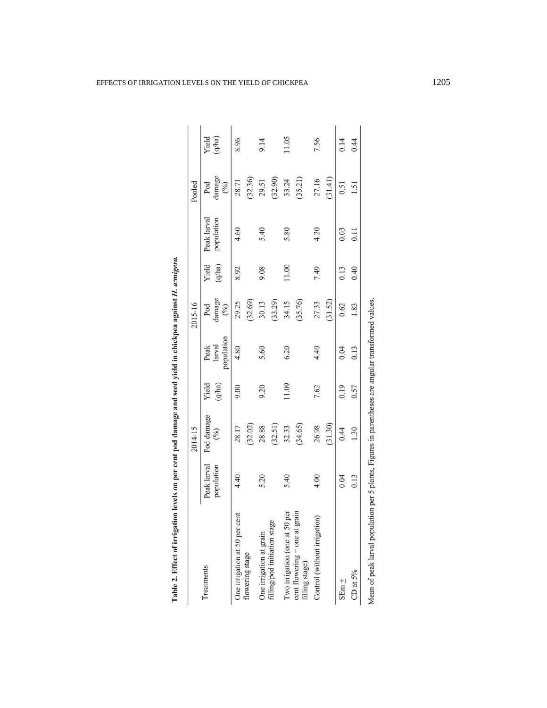|                                                                                                     |             | 2014-15        |        |                      | 2015-16               |        |             | Pooled          |        |
|-----------------------------------------------------------------------------------------------------|-------------|----------------|--------|----------------------|-----------------------|--------|-------------|-----------------|--------|
| Treatments                                                                                          | Peak larval | Pod damage     | Yield  | Peak                 | Pod                   | Yield  | Peak larval | Pod             | Yield  |
|                                                                                                     | population  | $\binom{0}{0}$ | (q/ha) | population<br>larval | damage $\binom{9}{6}$ | (q/ha) | population  | damage<br>(9/6) | (q/ha) |
| One irrigation at 50 per cent                                                                       | 4.40        | 28.17          | 9.00   | 4.80                 | 29.25                 | 8.92   | 4.60        | 28.71           | 8.96   |
| flowering stage                                                                                     |             | (32.02)        |        |                      | (32.69)               |        |             | (32.36)         |        |
| One irrigation at grain                                                                             | 5.20        | 28.88          | 9.20   | 5.60                 | 30.13                 | 9.08   | 5.40        | 29.51           | 9.14   |
| filling/pod initiation stage                                                                        |             | (32.51)        |        |                      | (33.29)               |        |             | (32.90)         |        |
| Two irrigation (one at 50 per cent flowering $+$ one at grain                                       | 5.40        | 32.33          | 11.09  | 6.20                 | 34.15                 | 11.00  | 5.80        | 33.24           | 11.05  |
| filling stage)                                                                                      |             | (34.65)        |        |                      | (35.76)               |        |             | (35.21)         |        |
| Control (without irrigation)                                                                        | 4.00        | 26.98          | 7.62   | 4.40                 | 27.33                 | 7.49   | 4.20        | 27.16           | 7.56   |
|                                                                                                     |             | (31.30)        |        |                      | (31.52)               |        |             | (31.41)         |        |
| $SEm \pm$                                                                                           | 0.04        | 0.44           | 0.19   | 0.04                 | 0.62                  | 0.13   | 0.03        | 0.51            | 0.14   |
| CD at $5\%$                                                                                         | 0.13        | 1.30           | 0.57   | 0.13                 | 1.83                  | 0.40   | 0.11        | 1.51            | 0.44   |
| Mean of peak larval population per 5 plants, Figures in parentheses are angular transformed values. |             |                |        |                      |                       |        |             |                 |        |

Table 2. Effect of irrigation levels on per cent pod damage and seed yield in chickpea against H. armigera.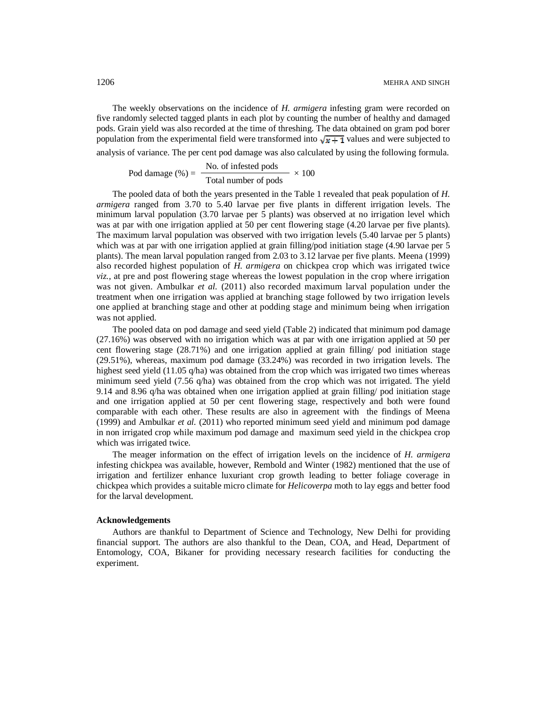The weekly observations on the incidence of *H. armigera* infesting gram were recorded on five randomly selected tagged plants in each plot by counting the number of healthy and damaged pods. Grain yield was also recorded at the time of threshing. The data obtained on gram pod borer population from the experimental field were transformed into  $\sqrt{x+1}$  values and were subjected to analysis of variance. The per cent pod damage was also calculated by using the following formula.

Pod damage (%) = 
$$
\frac{\text{No. of infected pools}}{\text{Total number of pools}} \times 100
$$

The pooled data of both the years presented in the Table 1 revealed that peak population of *H. armigera* ranged from 3.70 to 5.40 larvae per five plants in different irrigation levels. The minimum larval population (3.70 larvae per 5 plants) was observed at no irrigation level which was at par with one irrigation applied at 50 per cent flowering stage (4.20 larvae per five plants). The maximum larval population was observed with two irrigation levels (5.40 larvae per 5 plants) which was at par with one irrigation applied at grain filling/pod initiation stage (4.90 larvae per 5 plants). The mean larval population ranged from 2.03 to 3.12 larvae per five plants. Meena (1999) also recorded highest population of *H. armigera* on chickpea crop which was irrigated twice *viz.,* at pre and post flowering stage whereas the lowest population in the crop where irrigation was not given. Ambulkar *et al.* (2011) also recorded maximum larval population under the treatment when one irrigation was applied at branching stage followed by two irrigation levels one applied at branching stage and other at podding stage and minimum being when irrigation was not applied.

The pooled data on pod damage and seed yield (Table 2) indicated that minimum pod damage (27.16%) was observed with no irrigation which was at par with one irrigation applied at 50 per cent flowering stage (28.71%) and one irrigation applied at grain filling/ pod initiation stage (29.51%), whereas, maximum pod damage (33.24%) was recorded in two irrigation levels. The highest seed yield (11.05 q/ha) was obtained from the crop which was irrigated two times whereas minimum seed yield (7.56 q/ha) was obtained from the crop which was not irrigated. The yield 9.14 and 8.96 q/ha was obtained when one irrigation applied at grain filling/ pod initiation stage and one irrigation applied at 50 per cent flowering stage, respectively and both were found comparable with each other. These results are also in agreement with the findings of Meena (1999) and Ambulkar *et al.* (2011) who reported minimum seed yield and minimum pod damage in non irrigated crop while maximum pod damage and maximum seed yield in the chickpea crop which was irrigated twice.

The meager information on the effect of irrigation levels on the incidence of *H. armigera*  infesting chickpea was available, however, Rembold and Winter (1982) mentioned that the use of irrigation and fertilizer enhance luxuriant crop growth leading to better foliage coverage in chickpea which provides a suitable micro climate for *Helicoverpa* moth to lay eggs and better food for the larval development.

### **Acknowledgements**

Authors are thankful to Department of Science and Technology, New Delhi for providing financial support. The authors are also thankful to the Dean, COA, and Head, Department of Entomology, COA, Bikaner for providing necessary research facilities for conducting the experiment.